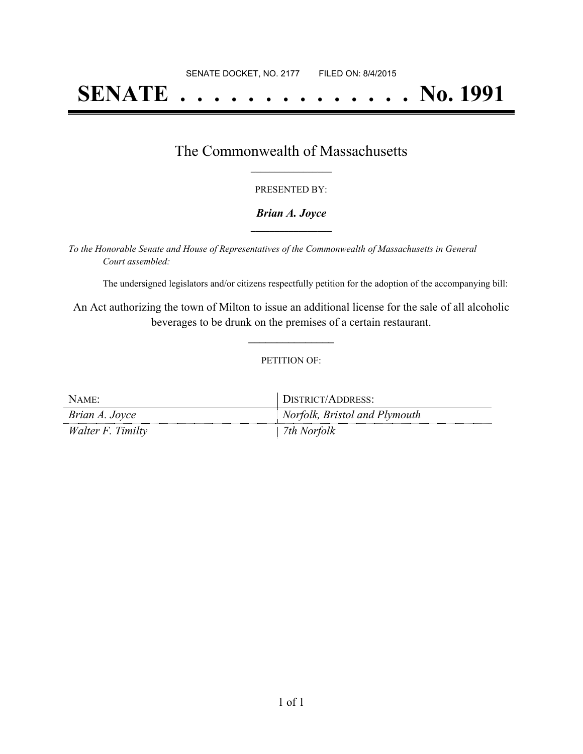# **SENATE . . . . . . . . . . . . . . No. 1991**

### The Commonwealth of Massachusetts **\_\_\_\_\_\_\_\_\_\_\_\_\_\_\_\_\_**

#### PRESENTED BY:

#### *Brian A. Joyce* **\_\_\_\_\_\_\_\_\_\_\_\_\_\_\_\_\_**

*To the Honorable Senate and House of Representatives of the Commonwealth of Massachusetts in General Court assembled:*

The undersigned legislators and/or citizens respectfully petition for the adoption of the accompanying bill:

An Act authorizing the town of Milton to issue an additional license for the sale of all alcoholic beverages to be drunk on the premises of a certain restaurant.

**\_\_\_\_\_\_\_\_\_\_\_\_\_\_\_**

#### PETITION OF:

| NAME:             | DISTRICT/ADDRESS:             |
|-------------------|-------------------------------|
| Brian A. Joyce    | Norfolk, Bristol and Plymouth |
| Walter F. Timilty | 7th Norfolk                   |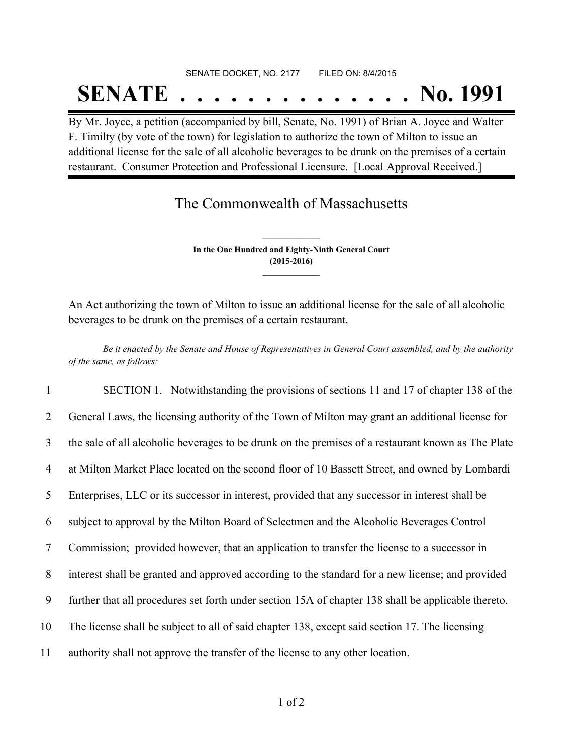## SENATE DOCKET, NO. 2177 FILED ON: 8/4/2015 **SENATE . . . . . . . . . . . . . . No. 1991**

By Mr. Joyce, a petition (accompanied by bill, Senate, No. 1991) of Brian A. Joyce and Walter F. Timilty (by vote of the town) for legislation to authorize the town of Milton to issue an additional license for the sale of all alcoholic beverages to be drunk on the premises of a certain restaurant. Consumer Protection and Professional Licensure. [Local Approval Received.]

# The Commonwealth of Massachusetts

**In the One Hundred and Eighty-Ninth General Court (2015-2016) \_\_\_\_\_\_\_\_\_\_\_\_\_\_\_**

**\_\_\_\_\_\_\_\_\_\_\_\_\_\_\_**

An Act authorizing the town of Milton to issue an additional license for the sale of all alcoholic beverages to be drunk on the premises of a certain restaurant.

Be it enacted by the Senate and House of Representatives in General Court assembled, and by the authority *of the same, as follows:*

 SECTION 1. Notwithstanding the provisions of sections 11 and 17 of chapter 138 of the General Laws, the licensing authority of the Town of Milton may grant an additional license for the sale of all alcoholic beverages to be drunk on the premises of a restaurant known as The Plate at Milton Market Place located on the second floor of 10 Bassett Street, and owned by Lombardi Enterprises, LLC or its successor in interest, provided that any successor in interest shall be subject to approval by the Milton Board of Selectmen and the Alcoholic Beverages Control Commission; provided however, that an application to transfer the license to a successor in interest shall be granted and approved according to the standard for a new license; and provided further that all procedures set forth under section 15A of chapter 138 shall be applicable thereto. The license shall be subject to all of said chapter 138, except said section 17. The licensing authority shall not approve the transfer of the license to any other location.